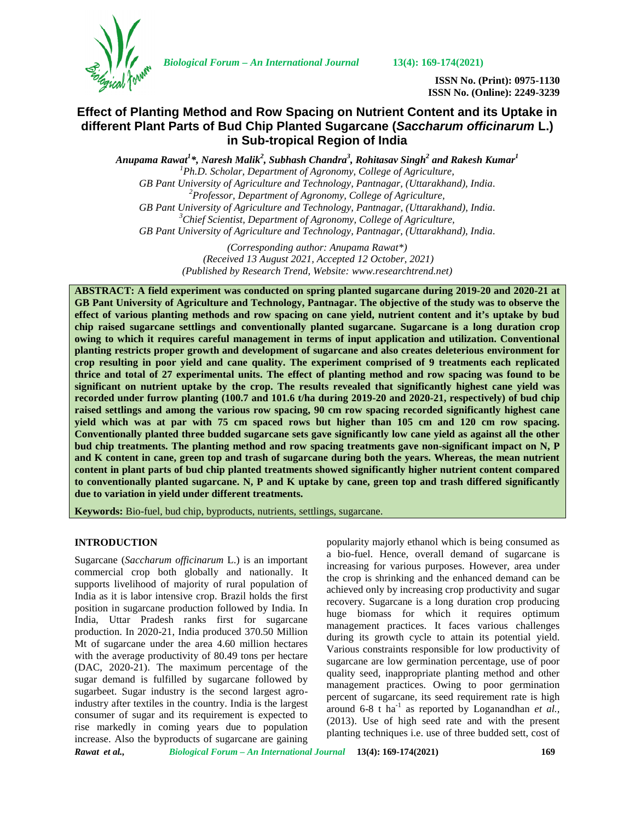

*Biological Forum – An International Journal* **13(4): 169-174(2021)**

**ISSN No. (Print): 0975-1130 ISSN No. (Online): 2249-3239**

# **Effect of Planting Method and Row Spacing on Nutrient Content and its Uptake in different Plant Parts of Bud Chip Planted Sugarcane (***Saccharum officinarum* **L.) in Sub-tropical Region of India**

*Anupama Rawat<sup>1</sup>\*, Naresh Malik<sup>2</sup> , Subhash Chandra<sup>3</sup> , Rohitasav Singh<sup>2</sup> and Rakesh Kumar<sup>1</sup> <sup>1</sup>Ph.D. Scholar, Department of Agronomy, College of Agriculture, GB Pant University of Agriculture and Technology, Pantnagar, (Uttarakhand), India. <sup>2</sup>Professor, Department of Agronomy, College of Agriculture, GB Pant University of Agriculture and Technology, Pantnagar, (Uttarakhand), India. <sup>3</sup>Chief Scientist, Department of Agronomy, College of Agriculture, GB Pant University of Agriculture and Technology, Pantnagar, (Uttarakhand), India.*

> *(Corresponding author: Anupama Rawat\*) (Received 13 August 2021, Accepted 12 October, 2021) (Published by Research Trend, Website: [www.researchtrend.net\)](www.researchtrend.net)*

**ABSTRACT: A field experiment was conducted on spring planted sugarcane during 2019-20 and 2020-21 at GB Pant University of Agriculture and Technology, Pantnagar. The objective of the study was to observe the effect of various planting methods and row spacing on cane yield, nutrient content and it's uptake by bud chip raised sugarcane settlings and conventionally planted sugarcane. Sugarcane is a long duration crop owing to which it requires careful management in terms of input application and utilization. Conventional planting restricts proper growth and development of sugarcane and also creates deleterious environment for crop resulting in poor yield and cane quality. The experiment comprised of 9 treatments each replicated thrice and total of 27 experimental units. The effect of planting method and row spacing was found to be significant on nutrient uptake by the crop. The results revealed that significantly highest cane yield was recorded under furrow planting (100.7 and 101.6 t/ha during 2019-20 and 2020-21, respectively) of bud chip raised settlings and among the various row spacing, 90 cm row spacing recorded significantly highest cane yield which was at par with 75 cm spaced rows but higher than 105 cm and 120 cm row spacing. Conventionally planted three budded sugarcane sets gave significantly low cane yield as against all the other bud chip treatments. The planting method and row spacing treatments gave non-significant impact on N, P and K content in cane, green top and trash of sugarcane during both the years. Whereas, the mean nutrient content in plant parts of bud chip planted treatments showed significantly higher nutrient content compared to conventionally planted sugarcane. N, P and K uptake by cane, green top and trash differed significantly due to variation in yield under different treatments.**

**Keywords:** Bio-fuel, bud chip, byproducts, nutrients, settlings, sugarcane.

### **INTRODUCTION**

*Rawat et al., Biological Forum – An International Journal* **13(4): 169-174(2021) 169** Sugarcane (*Saccharum officinarum* L.) is an important commercial crop both globally and nationally. It supports livelihood of majority of rural population of India as it is labor intensive crop. Brazil holds the first position in sugarcane production followed by India. In India, Uttar Pradesh ranks first for sugarcane production. In 2020-21, India produced 370.50 Million Mt of sugarcane under the area 4.60 million hectares with the average productivity of 80.49 tons per hectare (DAC, 2020-21). The maximum percentage of the sugar demand is fulfilled by sugarcane followed by sugarbeet. Sugar industry is the second largest agroindustry after textiles in the country. India is the largest consumer of sugar and its requirement is expected to rise markedly in coming years due to population increase. Also the byproducts of sugarcane are gaining

popularity majorly ethanol which is being consumed as a bio-fuel. Hence, overall demand of sugarcane is increasing for various purposes. However, area under the crop is shrinking and the enhanced demand can be achieved only by increasing crop productivity and sugar recovery. Sugarcane is a long duration crop producing huge biomass for which it requires optimum management practices. It faces various challenges during its growth cycle to attain its potential yield. Various constraints responsible for low productivity of sugarcane are low germination percentage, use of poor quality seed, inappropriate planting method and other management practices. Owing to poor germination percent of sugarcane, its seed requirement rate is high around 6-8 t ha-1 as reported by Loganandhan *et al.,* (2013). Use of high seed rate and with the present planting techniques i.e. use of three budded sett, cost of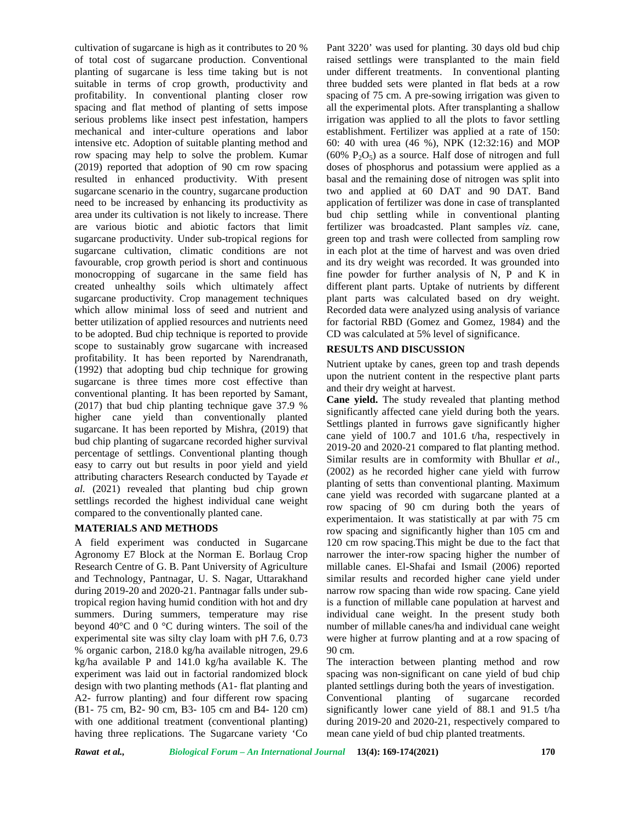cultivation of sugarcane is high as it contributes to 20 % of total cost of sugarcane production. Conventional planting of sugarcane is less time taking but is not suitable in terms of crop growth, productivity and profitability. In conventional planting closer row spacing and flat method of planting of setts impose serious problems like insect pest infestation, hampers mechanical and inter-culture operations and labor intensive etc. Adoption of suitable planting method and row spacing may help to solve the problem. Kumar (2019) reported that adoption of 90 cm row spacing resulted in enhanced productivity. With present sugarcane scenario in the country, sugarcane production need to be increased by enhancing its productivity as area under its cultivation is not likely to increase. There are various biotic and abiotic factors that limit sugarcane productivity. Under sub-tropical regions for sugarcane cultivation, climatic conditions are not favourable, crop growth period is short and continuous monocropping of sugarcane in the same field has created unhealthy soils which ultimately affect sugarcane productivity. Crop management techniques which allow minimal loss of seed and nutrient and better utilization of applied resources and nutrients need to be adopted. Bud chip technique is reported to provide scope to sustainably grow sugarcane with increased profitability. It has been reported by Narendranath, (1992) that adopting bud chip technique for growing sugarcane is three times more cost effective than conventional planting. It has been reported by Samant, (2017) that bud chip planting technique gave 37.9 % higher cane yield than conventionally planted sugarcane. It has been reported by Mishra, (2019) that bud chip planting of sugarcane recorded higher survival percentage of settlings. Conventional planting though easy to carry out but results in poor yield and yield attributing characters Research conducted by Tayade *et al.* (2021) revealed that planting bud chip grown settlings recorded the highest individual cane weight compared to the conventionally planted cane.

## **MATERIALS AND METHODS**

A field experiment was conducted in Sugarcane Agronomy E7 Block at the Norman E. Borlaug Crop Research Centre of G. B. Pant University of Agriculture and Technology, Pantnagar, U. S. Nagar, Uttarakhand during 2019-20 and 2020-21. Pantnagar falls under subtropical region having humid condition with hot and dry summers. During summers, temperature may rise beyond 40°C and 0 °C during winters. The soil of the experimental site was silty clay loam with pH 7.6, 0.73 % organic carbon, 218.0 kg/ha available nitrogen, 29.6 kg/ha available P and 141.0 kg/ha available K. The experiment was laid out in factorial randomized block design with two planting methods (A1- flat planting and A2- furrow planting) and four different row spacing (B1- 75 cm, B2- 90 cm, B3- 105 cm and B4- 120 cm) with one additional treatment (conventional planting) having three replications. The Sugarcane variety 'Co

Pant 3220' was used for planting. 30 days old bud chip raised settlings were transplanted to the main field under different treatments. In conventional planting three budded sets were planted in flat beds at a row spacing of 75 cm. A pre-sowing irrigation was given to all the experimental plots. After transplanting a shallow irrigation was applied to all the plots to favor settling establishment. Fertilizer was applied at a rate of 150: 60: 40 with urea (46 %), NPK (12:32:16) and MOP  $(60\% \text{ P}_2\text{O}_5)$  as a source. Half dose of nitrogen and full doses of phosphorus and potassium were applied as a basal and the remaining dose of nitrogen was split into two and applied at 60 DAT and 90 DAT. Band application of fertilizer was done in case of transplanted bud chip settling while in conventional planting fertilizer was broadcasted. Plant samples *viz.* cane, green top and trash were collected from sampling row in each plot at the time of harvest and was oven dried and its dry weight was recorded. It was grounded into fine powder for further analysis of N, P and K in different plant parts. Uptake of nutrients by different plant parts was calculated based on dry weight. Recorded data were analyzed using analysis of variance for factorial RBD (Gomez and Gomez, 1984) and the CD was calculated at 5% level of significance.

## **RESULTS AND DISCUSSION**

Nutrient uptake by canes, green top and trash depends upon the nutrient content in the respective plant parts and their dry weight at harvest.

**Cane yield.** The study revealed that planting method significantly affected cane yield during both the years. Settlings planted in furrows gave significantly higher cane yield of 100.7 and 101.6 t/ha, respectively in 2019-20 and 2020-21 compared to flat planting method. Similar results are in comformity with Bhullar *et al*., (2002) as he recorded higher cane yield with furrow planting of setts than conventional planting. Maximum cane yield was recorded with sugarcane planted at a row spacing of 90 cm during both the years of experimentaion. It was statistically at par with 75 cm row spacing and significantly higher than 105 cm and 120 cm row spacing.This might be due to the fact that narrower the inter-row spacing higher the number of millable canes. El-Shafai and Ismail (2006) reported similar results and recorded higher cane yield under narrow row spacing than wide row spacing. Cane yield is a function of millable cane population at harvest and individual cane weight. In the present study both number of millable canes/ha and individual cane weight were higher at furrow planting and at a row spacing of 90 cm.

The interaction between planting method and row spacing was non-significant on cane yield of bud chip planted settlings during both the years of investigation. Conventional planting of sugarcane recorded significantly lower cane yield of 88.1 and 91.5 t/ha during 2019-20 and 2020-21, respectively compared to mean cane yield of bud chip planted treatments.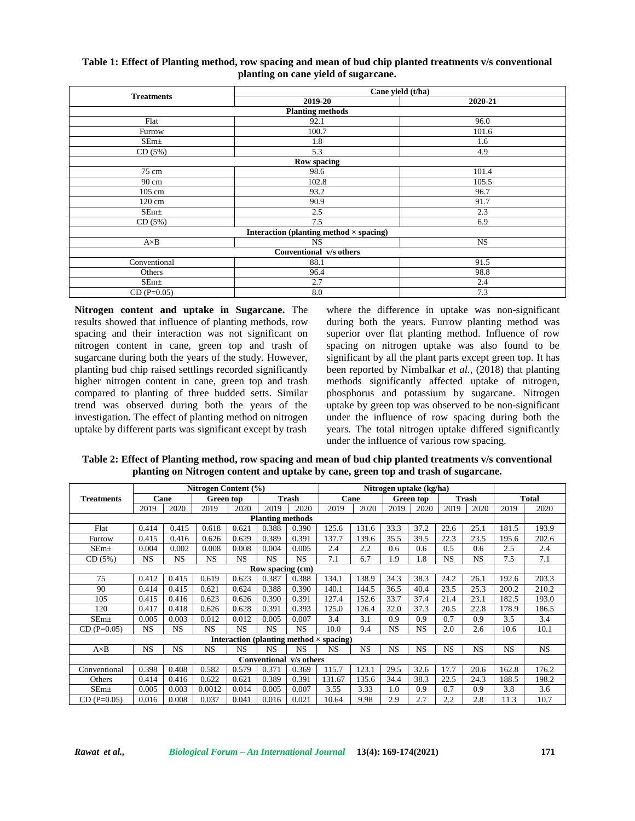|                   | Cane yield (t/ha)                              |           |
|-------------------|------------------------------------------------|-----------|
| <b>Treatments</b> | 2019-20                                        | 2020-21   |
|                   | <b>Planting methods</b>                        |           |
| Flat              | 92.1                                           | 96.0      |
| Furrow            | 100.7                                          | 101.6     |
| $SEm+$            | 1.8                                            | 1.6       |
| CD(5%)            | 5.3                                            | 4.9       |
|                   | <b>Row spacing</b>                             |           |
| 75 cm             | 98.6                                           | 101.4     |
| 90 cm             | 102.8                                          | 105.5     |
| 105 cm            | 93.2                                           | 96.7      |
| 120 cm            | 90.9                                           | 91.7      |
| $SEm\pm$          | 2.5                                            | 2.3       |
| CD(5%)            | 7.5                                            | 6.9       |
|                   | Interaction (planting method $\times$ spacing) |           |
| $A \times B$      | <b>NS</b>                                      | <b>NS</b> |
|                   | Conventional v/s others                        |           |
| Conventional      | 88.1                                           | 91.5      |
| Others            | 96.4                                           | 98.8      |
| $SEm+$            | 2.7                                            | 2.4       |
| $CD(P=0.05)$      | 8.0                                            | 7.3       |

**Table 1: Effect of Planting method, row spacing and mean of bud chip planted treatments v/s conventional planting on cane yield of sugarcane.**

**Nitrogen content and uptake in Sugarcane.** The results showed that influence of planting methods, row spacing and their interaction was not significant on nitrogen content in cane, green top and trash of sugarcane during both the years of the study. However, planting bud chip raised settlings recorded significantly higher nitrogen content in cane, green top and trash compared to planting of three budded setts. Similar trend was observed during both the years of the investigation. The effect of planting method on nitrogen uptake by different parts was significant except by trash

where the difference in uptake was non-significant during both the years. Furrow planting method was superior over flat planting method. Influence of row spacing on nitrogen uptake was also found to be significant by all the plant parts except green top. It has been reported by Nimbalkar *et al.,* (2018) that planting methods significantly affected uptake of nitrogen, phosphorus and potassium by sugarcane. Nitrogen uptake by green top was observed to be non-significant under the influence of row spacing during both the years. The total nitrogen uptake differed significantly under the influence of various row spacing.

| Table 2: Effect of Planting method, row spacing and mean of bud chip planted treatments v/s conventional |  |
|----------------------------------------------------------------------------------------------------------|--|
| planting on Nitrogen content and uptake by cane, green top and trash of sugarcane.                       |  |

|                   | Nitrogen Content (%) |           |           |           |                         |                         |                                                | Nitrogen uptake (kg/ha) |           |                  |           |              |           |           |
|-------------------|----------------------|-----------|-----------|-----------|-------------------------|-------------------------|------------------------------------------------|-------------------------|-----------|------------------|-----------|--------------|-----------|-----------|
| <b>Treatments</b> |                      | Cane      | Green top |           |                         | Trash                   |                                                | Cane                    |           | <b>Green top</b> |           | <b>Trash</b> |           | Total     |
|                   | 2019                 | 2020      | 2019      | 2020      | 2019                    | 2020                    | 2019                                           | 2020                    | 2019      | 2020             | 2019      | 2020         | 2019      | 2020      |
|                   |                      |           |           |           | <b>Planting methods</b> |                         |                                                |                         |           |                  |           |              |           |           |
| Flat              | 0.414                | 0.415     | 0.618     | 0.621     | 0.388                   | 0.390                   | 125.6                                          | 131.6                   | 33.3      | 37.2             | 22.6      | 25.1         | 181.5     | 193.9     |
| Furrow            | 0.415                | 0.416     | 0.626     | 0.629     | 0.389                   | 0.391                   | 137.7                                          | 139.6                   | 35.5      | 39.5             | 22.3      | 23.5         | 195.6     | 202.6     |
| $SEm+$            | 0.004                | 0.002     | 0.008     | 0.008     | 0.004                   | 0.005                   | 2.4                                            | 2.2                     | 0.6       | 0.6              | 0.5       | 0.6          | 2.5       | 2.4       |
| CD(5%)            | <b>NS</b>            | <b>NS</b> | <b>NS</b> | <b>NS</b> | <b>NS</b>               | NS.                     | 7.1                                            | 6.7                     | 1.9       | 1.8              | <b>NS</b> | NS.          | 7.5       | 7.1       |
|                   |                      |           |           |           | Row spacing (cm)        |                         |                                                |                         |           |                  |           |              |           |           |
| 75                | 0.412                | 0.415     | 0.619     | 0.623     | 0.387                   | 0.388                   | 134.1                                          | 138.9                   | 34.3      | 38.3             | 24.2      | 26.1         | 192.6     | 203.3     |
| 90                | 0.414                | 0.415     | 0.621     | 0.624     | 0.388                   | 0.390                   | 140.1                                          | 144.5                   | 36.5      | 40.4             | 23.5      | 25.3         | 200.2     | 210.2     |
| 105               | 0.415                | 0.416     | 0.623     | 0.626     | 0.390                   | 0.391                   | 127.4                                          | 152.6                   | 33.7      | 37.4             | 21.4      | 23.1         | 182.5     | 193.0     |
| 120               | 0.417                | 0.418     | 0.626     | 0.628     | 0.391                   | 0.393                   | 125.0                                          | 126.4                   | 32.0      | 37.3             | 20.5      | 22.8         | 178.9     | 186.5     |
| $SEm+$            | 0.005                | 0.003     | 0.012     | 0.012     | 0.005                   | 0.007                   | 3.4                                            | 3.1                     | 0.9       | 0.9              | 0.7       | 0.9          | 3.5       | 3.4       |
| $CD(P=0.05)$      | <b>NS</b>            | <b>NS</b> | <b>NS</b> | <b>NS</b> | NS.                     | <b>NS</b>               | 10.0                                           | 9.4                     | <b>NS</b> | <b>NS</b>        | 2.0       | 2.6          | 10.6      | 10.1      |
|                   |                      |           |           |           |                         |                         | Interaction (planting method $\times$ spacing) |                         |           |                  |           |              |           |           |
| $A \times B$      | <b>NS</b>            | <b>NS</b> | <b>NS</b> | <b>NS</b> | NS.                     | <b>NS</b>               | <b>NS</b>                                      | <b>NS</b>               | <b>NS</b> | <b>NS</b>        | <b>NS</b> | <b>NS</b>    | <b>NS</b> | <b>NS</b> |
|                   |                      |           |           |           |                         | Conventional v/s others |                                                |                         |           |                  |           |              |           |           |
| Conventional      | 0.398                | 0.408     | 0.582     | 0.579     | 0.371                   | 0.369                   | 115.7                                          | 123.1                   | 29.5      | 32.6             | 17.7      | 20.6         | 162.8     | 176.2     |
| Others            | 0.414                | 0.416     | 0.622     | 0.621     | 0.389                   | 0.391                   | 131.67                                         | 135.6                   | 34.4      | 38.3             | 22.5      | 24.3         | 188.5     | 198.2     |
| $SEm+$            | 0.005                | 0.003     | 0.0012    | 0.014     | 0.005                   | 0.007                   | 3.55                                           | 3.33                    | 1.0       | 0.9              | 0.7       | 0.9          | 3.8       | 3.6       |
| $CD(P=0.05)$      | 0.016                | 0.008     | 0.037     | 0.041     | 0.016                   | 0.021                   | 10.64                                          | 9.98                    | 2.9       | 2.7              | 2.2       | 2.8          | 11.3      | 10.7      |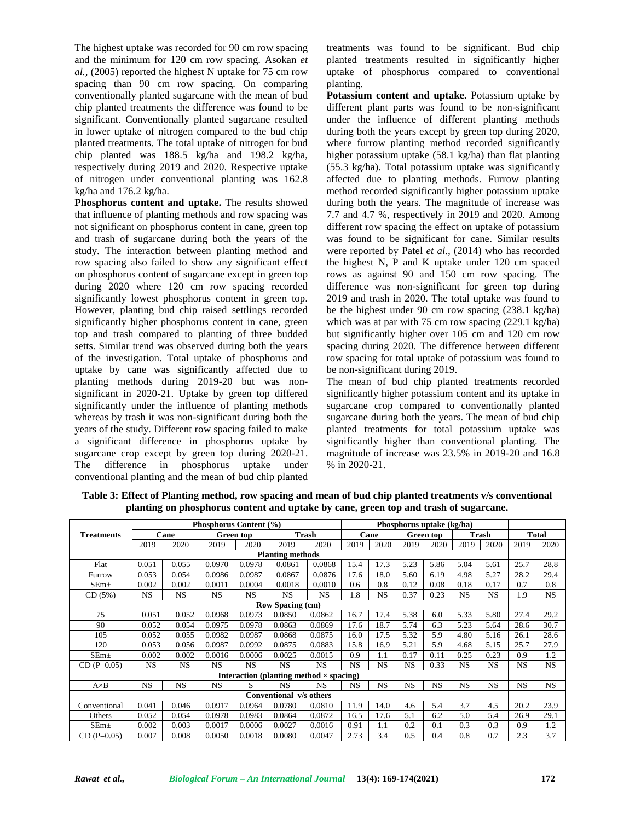The highest uptake was recorded for 90 cm row spacing and the minimum for 120 cm row spacing. Asokan *et al.,* (2005) reported the highest N uptake for 75 cm row spacing than 90 cm row spacing. On comparing conventionally planted sugarcane with the mean of bud chip planted treatments the difference was found to be significant. Conventionally planted sugarcane resulted in lower uptake of nitrogen compared to the bud chip planted treatments. The total uptake of nitrogen for bud chip planted was 188.5 kg/ha and 198.2 kg/ha, respectively during 2019 and 2020. Respective uptake of nitrogen under conventional planting was 162.8 kg/ha and 176.2 kg/ha.

**Phosphorus content and uptake.** The results showed that influence of planting methods and row spacing was not significant on phosphorus content in cane, green top and trash of sugarcane during both the years of the study. The interaction between planting method and row spacing also failed to show any significant effect on phosphorus content of sugarcane except in green top during 2020 where 120 cm row spacing recorded significantly lowest phosphorus content in green top. However, planting bud chip raised settlings recorded significantly higher phosphorus content in cane, green top and trash compared to planting of three budded setts. Similar trend was observed during both the years of the investigation. Total uptake of phosphorus and uptake by cane was significantly affected due to planting methods during 2019-20 but was non significant in 2020-21. Uptake by green top differed significantly under the influence of planting methods whereas by trash it was non-significant during both the years of the study. Different row spacing failed to make a significant difference in phosphorus uptake by sugarcane crop except by green top during 2020-21. The difference in phosphorus uptake under conventional planting and the mean of bud chip planted

treatments was found to be significant. Bud chip planted treatments resulted in significantly higher uptake of phosphorus compared to conventional planting.

**Potassium content and uptake.** Potassium uptake by different plant parts was found to be non-significant under the influence of different planting methods during both the years except by green top during 2020, where furrow planting method recorded significantly higher potassium uptake (58.1 kg/ha) than flat planting (55.3 kg/ha). Total potassium uptake was significantly affected due to planting methods. Furrow planting method recorded significantly higher potassium uptake during both the years. The magnitude of increase was 7.7 and 4.7 %, respectively in 2019 and 2020. Among different row spacing the effect on uptake of potassium was found to be significant for cane. Similar results were reported by Patel *et al.,* (2014) who has recorded the highest N, P and K uptake under 120 cm spaced rows as against 90 and 150 cm row spacing. The difference was non-significant for green top during 2019 and trash in 2020. The total uptake was found to be the highest under 90 cm row spacing (238.1 kg/ha) which was at par with 75 cm row spacing (229.1 kg/ha) but significantly higher over 105 cm and 120 cm row spacing during 2020. The difference between different row spacing for total uptake of potassium was found to be non-significant during 2019.

The mean of bud chip planted treatments recorded significantly higher potassium content and its uptake in sugarcane crop compared to conventionally planted sugarcane during both the years. The mean of bud chip planted treatments for total potassium uptake was significantly higher than conventional planting. The magnitude of increase was 23.5% in 2019-20 and 16.8 % in 2020-21.

|                   |                         |           | Phosphorus Content (%) |                  | Phosphorus uptake (kg/ha) |                                                |           |           |           |                  |           |           |           |      |
|-------------------|-------------------------|-----------|------------------------|------------------|---------------------------|------------------------------------------------|-----------|-----------|-----------|------------------|-----------|-----------|-----------|------|
| <b>Treatments</b> |                         | Cane      |                        | <b>Green top</b> |                           | Trash                                          |           | Cane      |           | <b>Green top</b> | Trash     |           | Total     |      |
|                   | 2019                    | 2020      | 2019                   | 2020             | 2019                      | 2020<br>2019                                   |           | 2020      | 2019      | 2020             | 2019      | 2020      | 2019      | 2020 |
|                   | <b>Planting methods</b> |           |                        |                  |                           |                                                |           |           |           |                  |           |           |           |      |
| Flat              | 0.051                   | 0.055     | 0.0970                 | 0.0978           | 0.0861                    | 0.0868                                         | 15.4      | 17.3      | 5.23      | 5.86             | 5.04      | 5.61      | 25.7      | 28.8 |
| Furrow            | 0.053                   | 0.054     | 0.0986                 | 0.0987           | 0.0867                    | 0.0876                                         | 17.6      | 18.0      | 5.60      | 6.19             | 4.98      | 5.27      | 28.2      | 29.4 |
| $SEm+$            | 0.002                   | 0.002     | 0.0011                 | 0.0004           | 0.0018                    | 0.0010                                         | 0.6       | 0.8       | 0.12      | 0.08             | 0.18      | 0.17      | 0.7       | 0.8  |
| CD(5%)            | NS.                     | <b>NS</b> | NS.                    | <b>NS</b>        | <b>NS</b>                 | NS.                                            | 1.8       | <b>NS</b> | 0.37      | 0.23             | <b>NS</b> | <b>NS</b> | 1.9       | NS.  |
|                   |                         |           |                        |                  | Row Spacing (cm)          |                                                |           |           |           |                  |           |           |           |      |
| 75                | 0.051                   | 0.052     | 0.0968                 | 0.0973           | 0.0850                    | 0.0862                                         | 16.7      | 17.4      | 5.38      | 6.0              | 5.33      | 5.80      | 27.4      | 29.2 |
| 90                | 0.052                   | 0.054     | 0.0975                 | 0.0978           | 0.0863                    | 0.0869                                         | 17.6      | 18.7      | 5.74      | 6.3              | 5.23      | 5.64      | 28.6      | 30.7 |
| 105               | 0.052                   | 0.055     | 0.0982                 | 0.0987           | 0.0868                    | 0.0875                                         | 16.0      | 17.5      | 5.32      | 5.9              | 4.80      | 5.16      | 26.1      | 28.6 |
| 120               | 0.053                   | 0.056     | 0.0987                 | 0.0992           | 0.0875                    | 0.0883                                         | 15.8      | 16.9      | 5.21      | 5.9              | 4.68      | 5.15      | 25.7      | 27.9 |
| $SEm+$            | 0.002                   | 0.002     | 0.0016                 | 0.0006           | 0.0025                    | 0.0015                                         | 0.9       | 1.1       | 0.17      | 0.11             | 0.25      | 0.23      | 0.9       | 1.2  |
| $CD(P=0.05)$      | NS.                     | NS.       | NS.                    | NS.              | <b>NS</b>                 | <b>NS</b>                                      | <b>NS</b> | <b>NS</b> | <b>NS</b> | 0.33             | <b>NS</b> | <b>NS</b> | <b>NS</b> | NS.  |
|                   |                         |           |                        |                  |                           | Interaction (planting method $\times$ spacing) |           |           |           |                  |           |           |           |      |
| $A \times B$      | NS.                     | <b>NS</b> | <b>NS</b>              | S                | <b>NS</b>                 | <b>NS</b>                                      | <b>NS</b> | <b>NS</b> | <b>NS</b> | <b>NS</b>        | <b>NS</b> | <b>NS</b> | <b>NS</b> | NS.  |
|                   |                         |           |                        |                  | Conventional v/s others   |                                                |           |           |           |                  |           |           |           |      |
| Conventional      | 0.041                   | 0.046     | 0.0917                 | 0.0964           | 0.0780                    | 0.0810                                         | 11.9      | 14.0      | 4.6       | 5.4              | 3.7       | 4.5       | 20.2      | 23.9 |
| Others            | 0.052                   | 0.054     | 0.0978                 | 0.0983           | 0.0864                    | 0.0872                                         | 16.5      | 17.6      | 5.1       | 6.2              | 5.0       | 5.4       | 26.9      | 29.1 |
| $SEm+$            | 0.002                   | 0.003     | 0.0017                 | 0.0006           | 0.0027                    | 0.0016                                         | 0.91      | 1.1       | 0.2       | 0.1              | 0.3       | 0.3       | 0.9       | 1.2  |
| $CD(P=0.05)$      | 0.007                   | 0.008     | 0.0050                 | 0.0018           | 0.0080                    | 0.0047                                         | 2.73      | 3.4       | 0.5       | 0.4              | 0.8       | 0.7       | 2.3       | 3.7  |

**Table 3: Effect of Planting method, row spacing and mean of bud chip planted treatments v/s conventional planting on phosphorus content and uptake by cane, green top and trash of sugarcane.**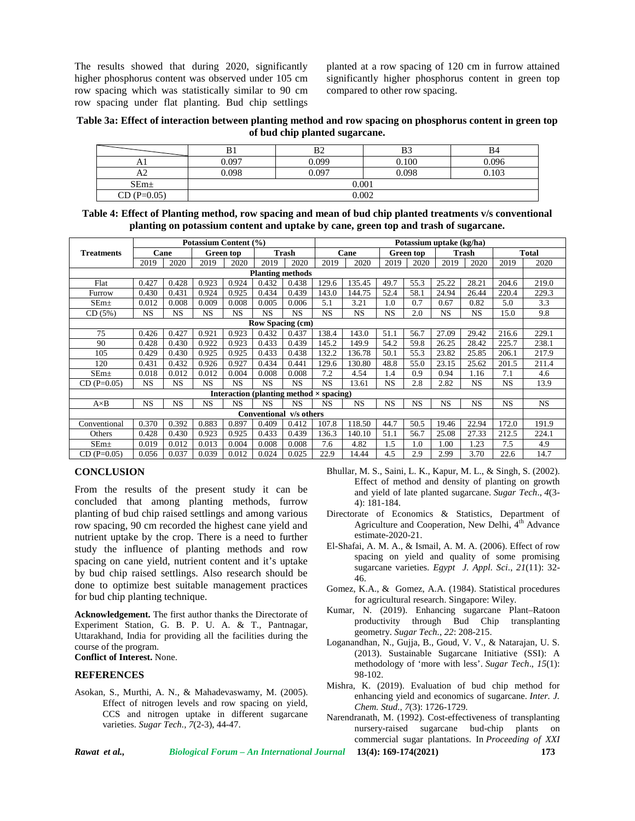The results showed that during 2020, significantly higher phosphorus content was observed under 105 cm row spacing which was statistically similar to 90 cm row spacing under flat planting. Bud chip settlings planted at a row spacing of 120 cm in furrow attained significantly higher phosphorus content in green top compared to other row spacing.

**Table 3a: Effect of interaction between planting method and row spacing on phosphorus content in green top of bud chip planted sugarcane.**

|                  |       |       | DΩ<br>DJ. | B4    |
|------------------|-------|-------|-----------|-------|
| 4 X 1            | 0.097 | 0.099 | 0.100     | 0.096 |
| ⊿∡               | 0.098 | 0.097 | 0.098     | 0.103 |
| SEm <sub>±</sub> |       | 0.001 |           |       |
| $CD (P=0.05)$    |       |       | 0.002     |       |

**Table 4: Effect of Planting method, row spacing and mean of bud chip planted treatments v/s conventional planting on potassium content and uptake by cane, green top and trash of sugarcane.**

|                   |                         |           |           | Potassium Content (%) |           |                                                | Potassium uptake (kg/ha) |           |           |                  |           |           |           |       |
|-------------------|-------------------------|-----------|-----------|-----------------------|-----------|------------------------------------------------|--------------------------|-----------|-----------|------------------|-----------|-----------|-----------|-------|
| <b>Treatments</b> |                         | Cane      |           | Green top             |           | <b>Trash</b>                                   |                          | Cane      |           | <b>Green top</b> |           | Trash     |           | Total |
|                   | 2019                    | 2020      | 2019      | 2020                  | 2019      | 2020                                           | 2019                     | 2020      | 2019      | 2020             | 2019      | 2020      | 2019      | 2020  |
|                   | <b>Planting methods</b> |           |           |                       |           |                                                |                          |           |           |                  |           |           |           |       |
| Flat              | 0.427                   | 0.428     | 0.923     | 0.924                 | 0.432     | 0.438                                          | 129.6                    | 135.45    | 49.7      | 55.3             | 25.22     | 28.21     | 204.6     | 219.0 |
| Furrow            | 0.430                   | 0.431     | 0.924     | 0.925                 | 0.434     | 0.439                                          | 143.0                    | 144.75    | 52.4      | 58.1             | 24.94     | 26.44     | 220.4     | 229.3 |
| $SEm+$            | 0.012                   | 0.008     | 0.009     | 0.008                 | 0.005     | 0.006                                          | 5.1                      | 3.21      | 1.0       | 0.7              | 0.67      | 0.82      | 5.0       | 3.3   |
| CD(5%)            | <b>NS</b>               | <b>NS</b> | <b>NS</b> | <b>NS</b>             | <b>NS</b> | <b>NS</b>                                      | <b>NS</b>                | <b>NS</b> | <b>NS</b> | 2.0              | <b>NS</b> | NS.       | 15.0      | 9.8   |
|                   |                         |           |           |                       |           | <b>Row Spacing (cm)</b>                        |                          |           |           |                  |           |           |           |       |
| 75                | 0.426                   | 0.427     | 0.921     | 0.923                 | 0.432     | 0.437                                          | 138.4                    | 143.0     | 51.1      | 56.7             | 27.09     | 29.42     | 216.6     | 229.1 |
| 90                | 0.428                   | 0.430     | 0.922     | 0.923                 | 0.433     | 0.439                                          | 145.2                    | 149.9     | 54.2      | 59.8             | 26.25     | 28.42     | 225.7     | 238.1 |
| 105               | 0.429                   | 0.430     | 0.925     | 0.925                 | 0.433     | 0.438                                          | 132.2                    | 136.78    | 50.1      | 55.3             | 23.82     | 25.85     | 206.1     | 217.9 |
| 120               | 0.431                   | 0.432     | 0.926     | 0.927                 | 0.434     | 0.441                                          | 129.6                    | 130.80    | 48.8      | 55.0             | 23.15     | 25.62     | 201.5     | 211.4 |
| $SEm+$            | 0.018                   | 0.012     | 0.012     | 0.004                 | 0.008     | 0.008                                          | 7.2                      | 4.54      | 1.4       | 0.9              | 0.94      | 1.16      | 7.1       | 4.6   |
| $CD(P=0.05)$      | <b>NS</b>               | <b>NS</b> | NS.       | <b>NS</b>             | <b>NS</b> | <b>NS</b>                                      | NS.                      | 13.61     | <b>NS</b> | 2.8              | 2.82      | <b>NS</b> | <b>NS</b> | 13.9  |
|                   |                         |           |           |                       |           | Interaction (planting method $\times$ spacing) |                          |           |           |                  |           |           |           |       |
| $A \times B$      | <b>NS</b>               | <b>NS</b> | <b>NS</b> | <b>NS</b>             | <b>NS</b> | <b>NS</b>                                      | <b>NS</b>                | <b>NS</b> | <b>NS</b> | <b>NS</b>        | <b>NS</b> | NS.       | <b>NS</b> | NS.   |
|                   |                         |           |           |                       |           | Conventional v/s others                        |                          |           |           |                  |           |           |           |       |
| Conventional      | 0.370                   | 0.392     | 0.883     | 0.897                 | 0.409     | 0.412                                          | 107.8                    | 118.50    | 44.7      | 50.5             | 19.46     | 22.94     | 172.0     | 191.9 |
| Others            | 0.428                   | 0.430     | 0.923     | 0.925                 | 0.433     | 0.439                                          | 136.3                    | 140.10    | 51.1      | 56.7             | 25.08     | 27.33     | 212.5     | 224.1 |
| SEm <sub>±</sub>  | 0.019                   | 0.012     | 0.013     | 0.004                 | 0.008     | 0.008                                          | 7.6                      | 4.82      | 1.5       | 1.0              | 1.00      | 1.23      | 7.5       | 4.9   |
| $CD(P=0.05)$      | 0.056                   | 0.037     | 0.039     | 0.012                 | 0.024     | 0.025                                          | 22.9                     | 14.44     | 4.5       | 2.9              | 2.99      | 3.70      | 22.6      | 14.7  |

#### **CONCLUSION**

From the results of the present study it can be concluded that among planting methods, furrow planting of bud chip raised settlings and among various row spacing, 90 cm recorded the highest cane yield and nutrient uptake by the crop. There is a need to further study the influence of planting methods and row spacing on cane yield, nutrient content and it's uptake by bud chip raised settlings. Also research should be done to optimize best suitable management practices for bud chip planting technique.

**Acknowledgement.** The first author thanks the Directorate of Experiment Station, G. B. P. U. A. & T., Pantnagar, Uttarakhand, India for providing all the facilities during the course of the program.

# **Conflict of Interest.** None.

#### **REFERENCES**

Asokan, S., Murthi, A. N., & Mahadevaswamy, M. (2005). Effect of nitrogen levels and row spacing on yield, CCS and nitrogen uptake in different sugarcane varieties. *Sugar Tech., 7*(2-3), 44-47.

- Bhullar, M. S., Saini, L. K., Kapur, M. L., & Singh, S.(2002). Effect of method and density of planting on growth and yield of late planted sugarcane. *Sugar Tech*., *4*(3- 4): 181-184.
- Directorate of Economics & Statistics, Department of Agriculture and Cooperation, New Delhi, 4<sup>th</sup> Advance estimate-2020-21.
- El-Shafai, A. M. A., & Ismail, A. M. A. (2006). Effect of row spacing on yield and quality of some promising sugarcane varieties. *Egypt J. Appl. Sci*., *21*(11): 32- 46.
- Gomez, K.A., & Gomez, A.A. (1984). Statistical procedures for agricultural research. Singapore: Wiley.
- Kumar, N. (2019). Enhancing sugarcane Plant–Ratoon productivity through Bud Chip transplanting geometry. *Sugar Tech.*, *22*: 208-215.
- Loganandhan, N., Gujja, B., Goud, V. V., & Natarajan, U. S. (2013). Sustainable Sugarcane Initiative (SSI): A methodology of 'more with less'. *Sugar Tech*., *15*(1): 98-102.
- Mishra, K. (2019). Evaluation of bud chip method for enhancing yield and economics of sugarcane. *Inter. J. Chem. Stud., 7*(3): 1726-1729.
- Narendranath, M. (1992). Cost-effectiveness of transplanting nursery-raised sugarcane bud-chip plants on commercial sugar plantations. In *Proceeding of XXI*

*Rawat et al., Biological Forum – An International Journal* **13(4): 169-174(2021) 173**